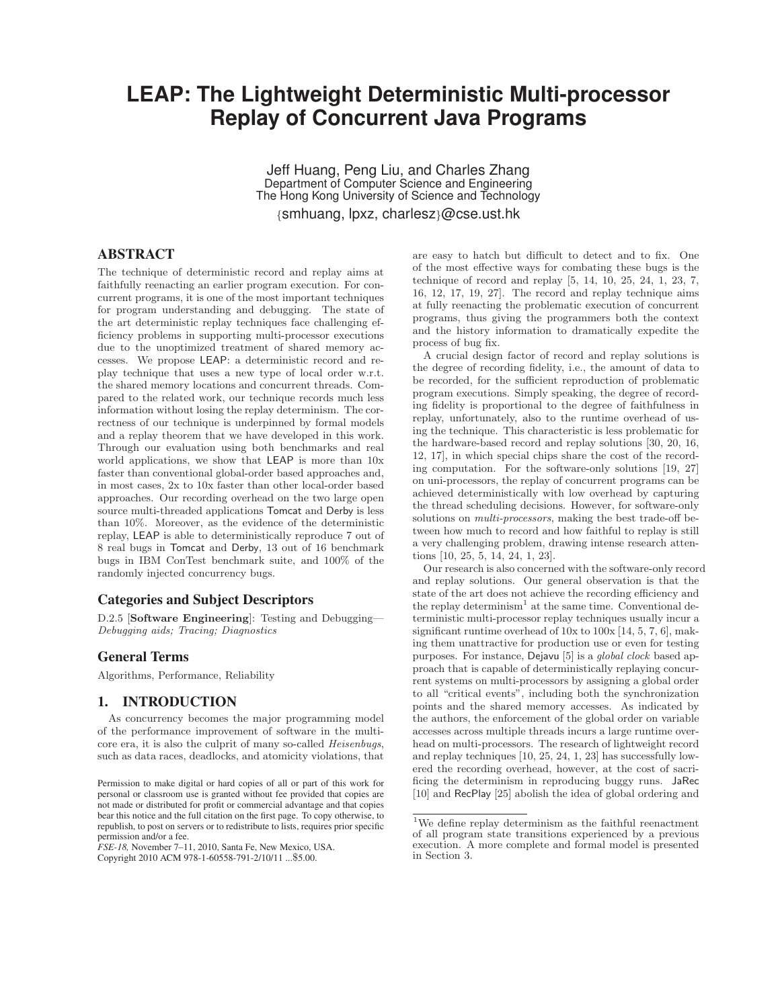# **LEAPEN Replay of Concurrent Java Programs Replay of Concurrent Java Programs**

Jeff Huang, Peng Liu, and Charles Zhang Department of Computer Science and Engineering The Hong Kong University of Science and Technology {smhuang, lpxz, charlesz}@cse.ust.hk

# ABSTRACT

The technique of deterministic record and replay aims at faithfully reenacting an earlier program execution. For concurrent programs, it is one of the most important techniques for program understanding and debugging. The state of the art deterministic replay techniques face challenging efficiency problems in supporting multi-processor executions due to the unoptimized treatment of shared memory accesses. We propose LEAP: a deterministic record and replay technique that uses a new type of local order w.r.t. the shared memory locations and concurrent threads. Compared to the related work, our technique records much less information without losing the replay determinism. The correctness of our technique is underpinned by formal models and a replay theorem that we have developed in this work. Through our evaluation using both benchmarks and real world applications, we show that LEAP is more than 10x faster than conventional global-order based approaches and, in most cases, 2x to 10x faster than other local-order based approaches. Our recording overhead on the two large open source multi-threaded applications Tomcat and Derby is less than 10%. Moreover, as the evidence of the deterministic replay, LEAP is able to deterministically reproduce 7 out of 8 real bugs in Tomcat and Derby, 13 out of 16 benchmark bugs in IBM ConTest benchmark suite, and 100% of the randomly injected concurrency bugs.

## Categories and Subject Descriptors

D.2.5 [**Software Engineering**]: Testing and Debugging— Debugging aids; Tracing; Diagnostics

## General Terms

Algorithms, Performance, Reliability

## 1. INTRODUCTION

As concurrency becomes the major programming model of the performance improvement of software in the multicore era, it is also the culprit of many so-called Heisenbugs, such as data races, deadlocks, and atomicity violations, that are easy to hatch but difficult to detect and to fix. One of the most effective ways for combating these bugs is the technique of record and replay [5, 14, 10, 25, 24, 1, 23, 7, 16, 12, 17, 19, 27]. The record and replay technique aims at fully reenacting the problematic execution of concurrent programs, thus giving the programmers both the context and the history information to dramatically expedite the process of bug fix.

A crucial design factor of record and replay solutions is the degree of recording fidelity, i.e., the amount of data to be recorded, for the sufficient reproduction of problematic program executions. Simply speaking, the degree of recording fidelity is proportional to the degree of faithfulness in replay, unfortunately, also to the runtime overhead of using the technique. This characteristic is less problematic for the hardware-based record and replay solutions [30, 20, 16, 12, 17], in which special chips share the cost of the recording computation. For the software-only solutions [19, 27] on uni-processors, the replay of concurrent programs can be achieved deterministically with low overhead by capturing the thread scheduling decisions. However, for software-only solutions on *multi-processors*, making the best trade-off between how much to record and how faithful to replay is still a very challenging problem, drawing intense research attentions [10, 25, 5, 14, 24, 1, 23].

Our research is also concerned with the software-only record and replay solutions. Our general observation is that the state of the art does not achieve the recording efficiency and the replay determinism<sup>1</sup> at the same time. Conventional deterministic multi-processor replay techniques usually incur a significant runtime overhead of 10x to 100x [14, 5, 7, 6], making them unattractive for production use or even for testing purposes. For instance, Dejavu [5] is a *global clock* based approach that is capable of deterministically replaying concurrent systems on multi-processors by assigning a global order to all "critical events", including both the synchronization points and the shared memory accesses. As indicated by the authors, the enforcement of the global order on variable accesses across multiple threads incurs a large runtime overhead on multi-processors. The research of lightweight record and replay techniques [10, 25, 24, 1, 23] has successfully lowered the recording overhead, however, at the cost of sacrificing the determinism in reproducing buggy runs. JaRec [10] and RecPlay [25] abolish the idea of global ordering and

Permission to make digital or hard copies of all or part of this work for personal or classroom use is granted without fee provided that copies are not made or distributed for profit or commercial advantage and that copies bear this notice and the full citation on the first page. To copy otherwise, to republish, to post on servers or to redistribute to lists, requires prior specific permission and/or a fee.

*FSE-18,* November 7–11, 2010, Santa Fe, New Mexico, USA. Copyright 2010 ACM 978-1-60558-791-2/10/11 ...\$5.00.

 $^{\rm 1}{\rm We}$  define replay determinism as the faithful reenactment of all program state transitions experienced by a previous execution. A more complete and formal model is presented in Section 3.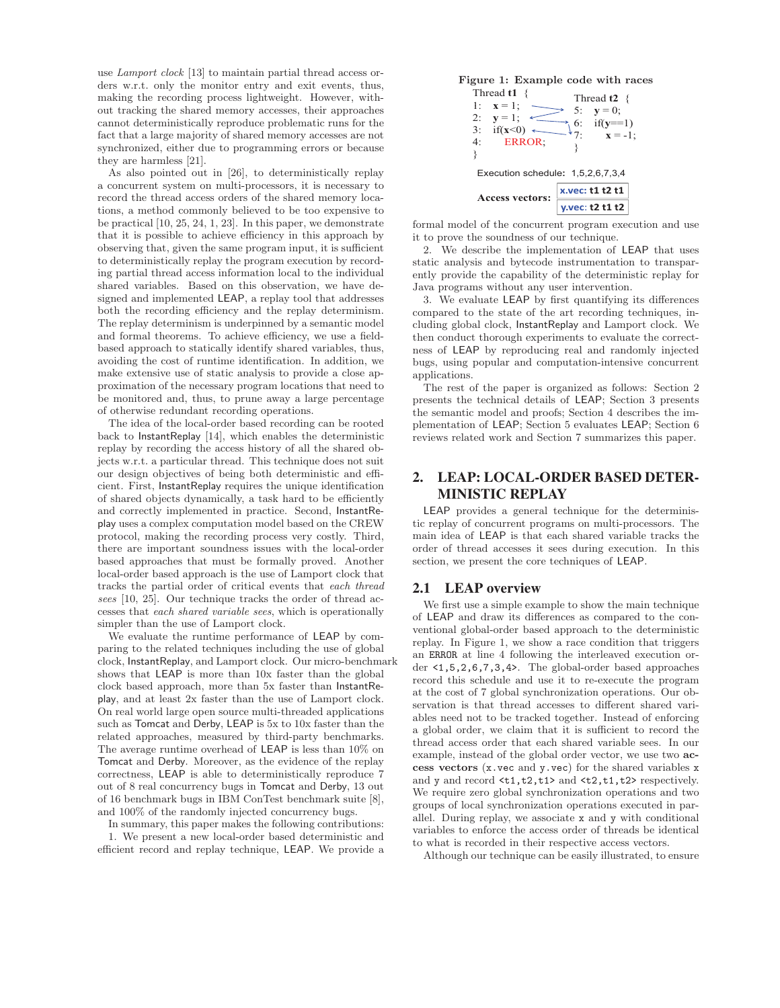use Lamport clock [13] to maintain partial thread access orders w.r.t. only the monitor entry and exit events, thus, making the recording process lightweight. However, without tracking the shared memory accesses, their approaches cannot deterministically reproduce problematic runs for the fact that a large majority of shared memory accesses are not synchronized, either due to programming errors or because they are harmless [21].

As also pointed out in [26], to deterministically replay a concurrent system on multi-processors, it is necessary to record the thread access orders of the shared memory locations, a method commonly believed to be too expensive to be practical [10, 25, 24, 1, 23]. In this paper, we demonstrate that it is possible to achieve efficiency in this approach by observing that, given the same program input, it is sufficient to deterministically replay the program execution by recording partial thread access information local to the individual shared variables. Based on this observation, we have designed and implemented LEAP, a replay tool that addresses both the recording efficiency and the replay determinism. The replay determinism is underpinned by a semantic model and formal theorems. To achieve efficiency, we use a fieldbased approach to statically identify shared variables, thus, avoiding the cost of runtime identification. In addition, we make extensive use of static analysis to provide a close approximation of the necessary program locations that need to be monitored and, thus, to prune away a large percentage of otherwise redundant recording operations.

The idea of the local-order based recording can be rooted back to InstantReplay [14], which enables the deterministic replay by recording the access history of all the shared objects w.r.t. a particular thread. This technique does not suit our design objectives of being both deterministic and efficient. First, InstantReplay requires the unique identification of shared objects dynamically, a task hard to be efficiently and correctly implemented in practice. Second, InstantReplay uses a complex computation model based on the CREW protocol, making the recording process very costly. Third, there are important soundness issues with the local-order based approaches that must be formally proved. Another local-order based approach is the use of Lamport clock that tracks the partial order of critical events that each thread sees [10, 25]. Our technique tracks the order of thread accesses that each shared variable sees, which is operationally simpler than the use of Lamport clock.

We evaluate the runtime performance of LEAP by comparing to the related techniques including the use of global clock, InstantReplay, and Lamport clock. Our micro-benchmark shows that LEAP is more than 10x faster than the global clock based approach, more than 5x faster than InstantReplay, and at least 2x faster than the use of Lamport clock. On real world large open source multi-threaded applications such as Tomcat and Derby, LEAP is 5x to 10x faster than the related approaches, measured by third-party benchmarks. The average runtime overhead of LEAP is less than 10% on Tomcat and Derby. Moreover, as the evidence of the replay correctness, LEAP is able to deterministically reproduce 7 out of 8 real concurrency bugs in Tomcat and Derby, 13 out of 16 benchmark bugs in IBM ConTest benchmark suite [8], and 100% of the randomly injected concurrency bugs.

In summary, this paper makes the following contributions: 1. We present a new local-order based deterministic and efficient record and replay technique, LEAP. We provide a



formal model of the concurrent program execution and use it to prove the soundness of our technique.

2. We describe the implementation of LEAP that uses static analysis and bytecode instrumentation to transparently provide the capability of the deterministic replay for Java programs without any user intervention.

3. We evaluate LEAP by first quantifying its differences compared to the state of the art recording techniques, including global clock, InstantReplay and Lamport clock. We then conduct thorough experiments to evaluate the correctness of LEAP by reproducing real and randomly injected bugs, using popular and computation-intensive concurrent applications.

The rest of the paper is organized as follows: Section 2 presents the technical details of LEAP; Section 3 presents the semantic model and proofs; Section 4 describes the implementation of LEAP; Section 5 evaluates LEAP; Section 6 reviews related work and Section 7 summarizes this paper.

# 2. LEAP: LOCAL-ORDER BASED DETER-MINISTIC REPLAY

LEAP provides a general technique for the deterministic replay of concurrent programs on multi-processors. The main idea of LEAP is that each shared variable tracks the order of thread accesses it sees during execution. In this section, we present the core techniques of LEAP.

## 2.1 LEAP overview

We first use a simple example to show the main technique of LEAP and draw its differences as compared to the conventional global-order based approach to the deterministic replay. In Figure 1, we show a race condition that triggers an ERROR at line 4 following the interleaved execution order <1,5,2,6,7,3,4>. The global-order based approaches record this schedule and use it to re-execute the program at the cost of 7 global synchronization operations. Our observation is that thread accesses to different shared variables need not to be tracked together. Instead of enforcing a global order, we claim that it is sufficient to record the thread access order that each shared variable sees. In our example, instead of the global order vector, we use two **access vectors** (x.vec and y.vec) for the shared variables x and y and record  $\langle t1, t2, t1 \rangle$  and  $\langle t2, t1, t2 \rangle$  respectively. We require zero global synchronization operations and two groups of local synchronization operations executed in parallel. During replay, we associate x and y with conditional variables to enforce the access order of threads be identical to what is recorded in their respective access vectors.

Although our technique can be easily illustrated, to ensure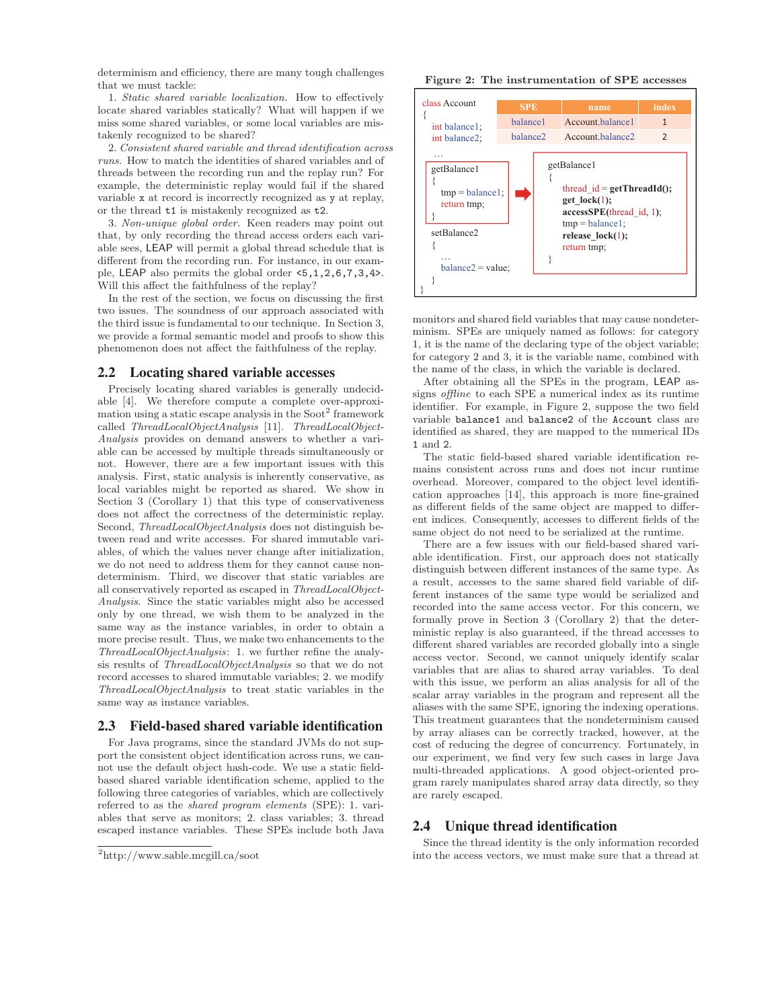determinism and efficiency, there are many tough challenges that we must tackle:

1. Static shared variable localization. How to effectively locate shared variables statically? What will happen if we miss some shared variables, or some local variables are mistakenly recognized to be shared?

2. Consistent shared variable and thread identification across runs. How to match the identities of shared variables and of threads between the recording run and the replay run? For example, the deterministic replay would fail if the shared variable x at record is incorrectly recognized as y at replay, or the thread t1 is mistakenly recognized as t2.

3. Non-unique global order. Keen readers may point out that, by only recording the thread access orders each variable sees, LEAP will permit a global thread schedule that is different from the recording run. For instance, in our example, LEAP also permits the global order <5,1,2,6,7,3,4>. Will this affect the faithfulness of the replay?

In the rest of the section, we focus on discussing the first two issues. The soundness of our approach associated with the third issue is fundamental to our technique. In Section 3, we provide a formal semantic model and proofs to show this phenomenon does not affect the faithfulness of the replay.

#### 2.2 Locating shared variable accesses

Precisely locating shared variables is generally undecidable [4]. We therefore compute a complete over-approximation using a static escape analysis in the  $Soot<sup>2</sup>$  framework called ThreadLocalObjectAnalysis [11]. ThreadLocalObject-Analysis provides on demand answers to whether a variable can be accessed by multiple threads simultaneously or not. However, there are a few important issues with this analysis. First, static analysis is inherently conservative, as local variables might be reported as shared. We show in Section 3 (Corollary 1) that this type of conservativeness does not affect the correctness of the deterministic replay. Second, ThreadLocalObjectAnalysis does not distinguish between read and write accesses. For shared immutable variables, of which the values never change after initialization, we do not need to address them for they cannot cause nondeterminism. Third, we discover that static variables are all conservatively reported as escaped in ThreadLocalObject-Analysis. Since the static variables might also be accessed only by one thread, we wish them to be analyzed in the same way as the instance variables, in order to obtain a more precise result. Thus, we make two enhancements to the ThreadLocalObjectAnalysis: 1. we further refine the analysis results of ThreadLocalObjectAnalysis so that we do not record accesses to shared immutable variables; 2. we modify ThreadLocalObjectAnalysis to treat static variables in the same way as instance variables.

#### 2.3 Field-based shared variable identification

For Java programs, since the standard JVMs do not support the consistent object identification across runs, we cannot use the default object hash-code. We use a static fieldbased shared variable identification scheme, applied to the following three categories of variables, which are collectively referred to as the shared program elements (SPE): 1. variables that serve as monitors; 2. class variables; 3. thread escaped instance variables. These SPEs include both Java

#### **Figure 2: The instrumentation of SPE accesses**



monitors and shared field variables that may cause nondeterminism. SPEs are uniquely named as follows: for category 1, it is the name of the declaring type of the object variable; for category 2 and 3, it is the variable name, combined with the name of the class, in which the variable is declared.

After obtaining all the SPEs in the program, LEAP assigns offline to each SPE a numerical index as its runtime identifier. For example, in Figure 2, suppose the two field variable balance1 and balance2 of the Account class are identified as shared, they are mapped to the numerical IDs 1 and 2.

The static field-based shared variable identification remains consistent across runs and does not incur runtime overhead. Moreover, compared to the object level identification approaches [14], this approach is more fine-grained as different fields of the same object are mapped to different indices. Consequently, accesses to different fields of the same object do not need to be serialized at the runtime.

There are a few issues with our field-based shared variable identification. First, our approach does not statically distinguish between different instances of the same type. As a result, accesses to the same shared field variable of different instances of the same type would be serialized and recorded into the same access vector. For this concern, we formally prove in Section 3 (Corollary 2) that the deterministic replay is also guaranteed, if the thread accesses to different shared variables are recorded globally into a single access vector. Second, we cannot uniquely identify scalar variables that are alias to shared array variables. To deal with this issue, we perform an alias analysis for all of the scalar array variables in the program and represent all the aliases with the same SPE, ignoring the indexing operations. This treatment guarantees that the nondeterminism caused by array aliases can be correctly tracked, however, at the cost of reducing the degree of concurrency. Fortunately, in our experiment, we find very few such cases in large Java multi-threaded applications. A good object-oriented program rarely manipulates shared array data directly, so they are rarely escaped.

#### 2.4 Unique thread identification

Since the thread identity is the only information recorded into the access vectors, we must make sure that a thread at

<sup>2</sup>http://www.sable.mcgill.ca/soot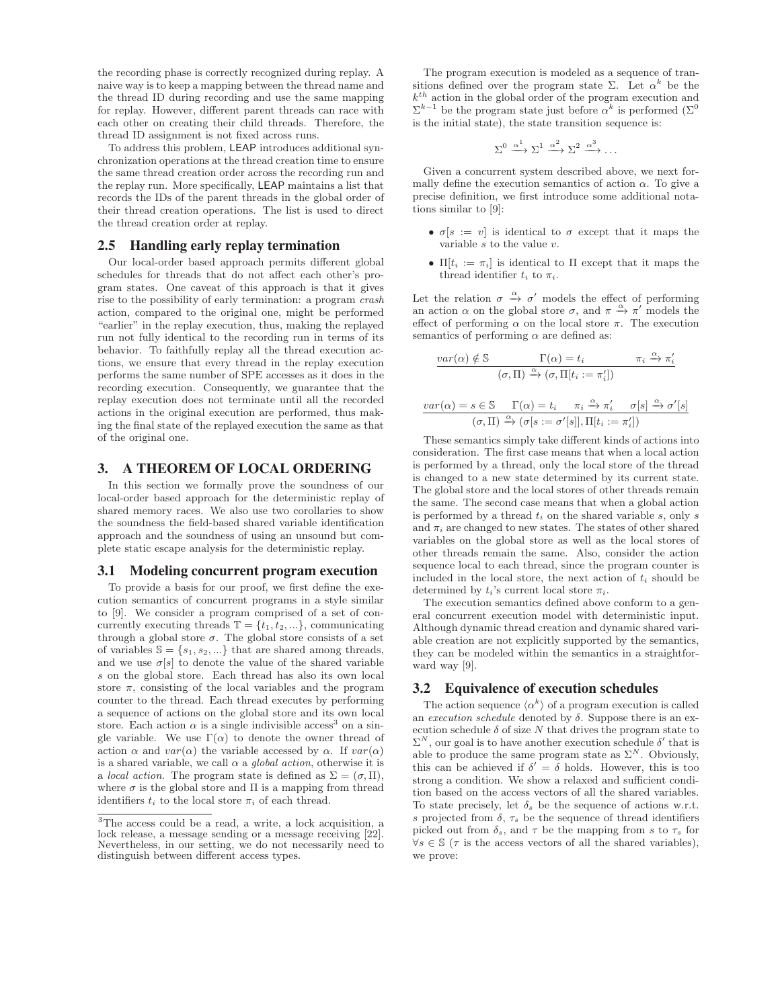the recording phase is correctly recognized during replay. A naive way is to keep a mapping between the thread name and the thread ID during recording and use the same mapping for replay. However, different parent threads can race with each other on creating their child threads. Therefore, the thread ID assignment is not fixed across runs.

To address this problem, LEAP introduces additional synchronization operations at the thread creation time to ensure the same thread creation order across the recording run and the replay run. More specifically, LEAP maintains a list that records the IDs of the parent threads in the global order of their thread creation operations. The list is used to direct the thread creation order at replay.

#### 2.5 Handling early replay termination

Our local-order based approach permits different global schedules for threads that do not affect each other's program states. One caveat of this approach is that it gives rise to the possibility of early termination: a program crash action, compared to the original one, might be performed "earlier" in the replay execution, thus, making the replayed run not fully identical to the recording run in terms of its behavior. To faithfully replay all the thread execution actions, we ensure that every thread in the replay execution performs the same number of SPE accesses as it does in the recording execution. Consequently, we guarantee that the replay execution does not terminate until all the recorded actions in the original execution are performed, thus making the final state of the replayed execution the same as that of the original one.

## 3. A THEOREM OF LOCAL ORDERING

In this section we formally prove the soundness of our local-order based approach for the deterministic replay of shared memory races. We also use two corollaries to show the soundness the field-based shared variable identification approach and the soundness of using an unsound but complete static escape analysis for the deterministic replay.

#### 3.1 Modeling concurrent program execution

To provide a basis for our proof, we first define the execution semantics of concurrent programs in a style similar to [9]. We consider a program comprised of a set of concurrently executing threads  $\mathbb{T} = \{t_1, t_2, ...\}$ , communicating through a global store  $\sigma$ . The global store consists of a set of variables  $\mathbb{S} = \{s_1, s_2, ...\}$  that are shared among threads, and we use  $\sigma[s]$  to denote the value of the shared variable s on the global store. Each thread has also its own local store  $\pi$ , consisting of the local variables and the program counter to the thread. Each thread executes by performing a sequence of actions on the global store and its own local store. Each action  $\alpha$  is a single indivisible access<sup>3</sup> on a single variable. We use  $\Gamma(\alpha)$  to denote the owner thread of action  $\alpha$  and  $var(\alpha)$  the variable accessed by  $\alpha$ . If  $var(\alpha)$ is a shared variable, we call  $\alpha$  a *global action*, otherwise it is a *local action*. The program state is defined as  $\Sigma = (\sigma, \Pi)$ , where  $\sigma$  is the global store and  $\Pi$  is a mapping from thread identifiers  $t_i$  to the local store  $\pi_i$  of each thread.

The program execution is modeled as a sequence of transitions defined over the program state Σ. Let  $\alpha^k$  be the  $k^{th}$  action in the global order of the program execution and  $\Sigma^{k-1}$  be the program state just before  $\alpha^k$  is performed  $(\Sigma^0$ is the initial state), the state transition sequence is:

$$
\Sigma^0 \xrightarrow{\alpha^1} \Sigma^1 \xrightarrow{\alpha^2} \Sigma^2 \xrightarrow{\alpha^3} \dots
$$

Given a concurrent system described above, we next formally define the execution semantics of action  $\alpha$ . To give a precise definition, we first introduce some additional notations similar to [9]:

- $\sigma[s := v]$  is identical to  $\sigma$  except that it maps the variable  $s$  to the value  $v$ .
- $\Pi[t_i := \pi_i]$  is identical to  $\Pi$  except that it maps the thread identifier  $t_i$  to  $\pi_i$ .

Let the relation  $\sigma \stackrel{\alpha}{\rightarrow} \sigma'$  models the effect of performing an action  $\alpha$  on the global store  $\sigma$ , and  $\pi \stackrel{\alpha}{\rightarrow} \pi'$  models the effect of performing  $\alpha$  on the local store  $\pi$ . The execution semantics of performing  $\alpha$  are defined as:

$$
\frac{var(\alpha) \notin \mathbb{S} \qquad \Gamma(\alpha) = t_i \qquad \pi_i \xrightarrow{\alpha} \pi'_i}{(\sigma, \Pi) \xrightarrow{\alpha} (\sigma, \Pi[t_i := \pi'_i])}
$$

$$
\frac{var(\alpha) = s \in \mathbb{S} \quad \Gamma(\alpha) = t_i \quad \pi_i \xrightarrow{\alpha} \pi'_i \quad \sigma[s] \xrightarrow{\alpha} \sigma'[s]}{(\sigma, \Pi) \xrightarrow{\alpha} (\sigma[s := \sigma'[s]], \Pi[t_i := \pi'_i])}
$$

These semantics simply take different kinds of actions into consideration. The first case means that when a local action is performed by a thread, only the local store of the thread is changed to a new state determined by its current state. The global store and the local stores of other threads remain the same. The second case means that when a global action is performed by a thread  $t_i$  on the shared variable  $s$ , only  $s$ and  $\pi_i$  are changed to new states. The states of other shared variables on the global store as well as the local stores of other threads remain the same. Also, consider the action sequence local to each thread, since the program counter is included in the local store, the next action of  $t_i$  should be determined by  $t_i$ 's current local store  $\pi_i$ .

The execution semantics defined above conform to a general concurrent execution model with deterministic input. Although dynamic thread creation and dynamic shared variable creation are not explicitly supported by the semantics, they can be modeled within the semantics in a straightforward way [9].

#### 3.2 Equivalence of execution schedules

The action sequence  $\langle \alpha^k \rangle$  of a program execution is called an *execution schedule* denoted by  $\delta$ . Suppose there is an execution schedule  $\delta$  of size N that drives the program state to  $\Sigma^N$ , our goal is to have another execution schedule  $\delta'$  that is able to produce the same program state as  $\Sigma^N$ . Obviously, this can be achieved if  $\delta' = \delta$  holds. However, this is too strong a condition. We show a relaxed and sufficient condition based on the access vectors of all the shared variables. To state precisely, let  $\delta_s$  be the sequence of actions w.r.t. s projected from  $\delta$ ,  $\tau_s$  be the sequence of thread identifiers picked out from  $\delta_s$ , and  $\tau$  be the mapping from s to  $\tau_s$  for  $\forall s \in \mathbb{S}$  ( $\tau$  is the access vectors of all the shared variables), we prove:

 $\overline{3}$ The access could be a read, a write, a lock acquisition, a lock release, a message sending or a message receiving [22]. Nevertheless, in our setting, we do not necessarily need to distinguish between different access types.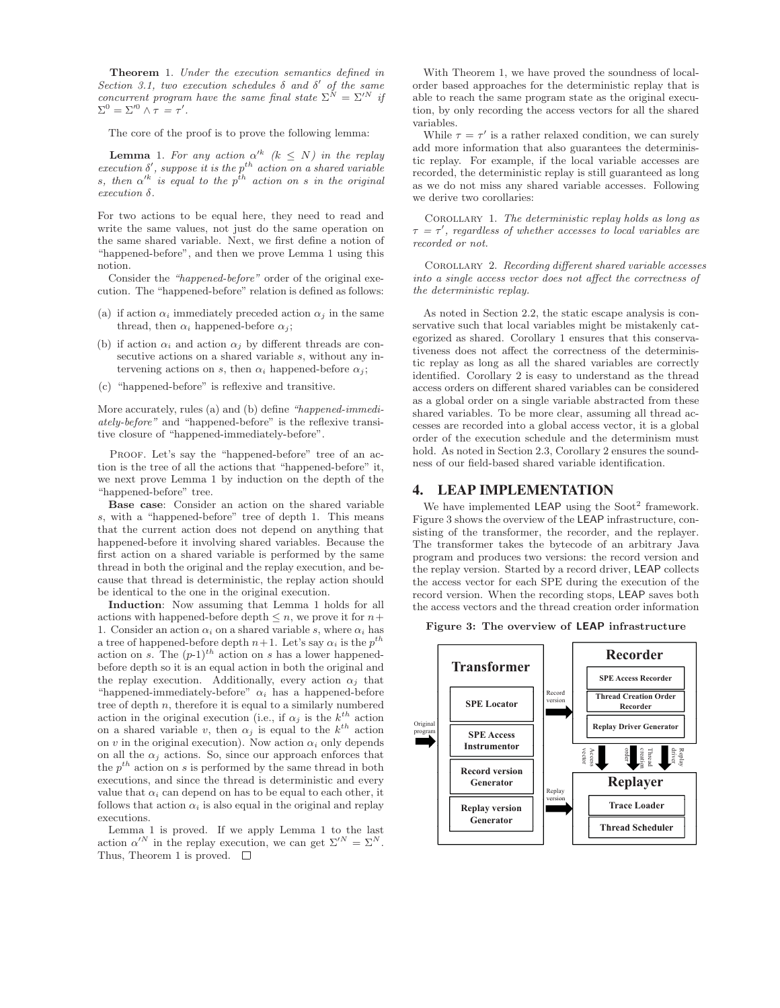**Theorem** 1. Under the execution semantics defined in Section 3.1, two execution schedules  $\delta$  and  $\delta'$  of the same concurrent program have the same final state  $\Sigma^N = \Sigma'^N$  if  $\Sigma^0 = \Sigma^{\prime 0} \wedge \tau = \tau'.$ 

The core of the proof is to prove the following lemma:

**Lemma** 1. For any action  $\alpha'^k$  ( $k \leq N$ ) in the replay execution  $\delta'$ , suppose it is the p<sup>th</sup> action on a shared variable s, then  $\alpha'^k$  is equal to the  $p^{th}$  action on s in the original execution δ.

For two actions to be equal here, they need to read and write the same values, not just do the same operation on the same shared variable. Next, we first define a notion of "happened-before", and then we prove Lemma 1 using this notion.

Consider the "happened-before" order of the original execution. The "happened-before" relation is defined as follows:

- (a) if action  $\alpha_i$  immediately preceded action  $\alpha_j$  in the same thread, then  $\alpha_i$  happened-before  $\alpha_i$ ;
- (b) if action  $\alpha_i$  and action  $\alpha_j$  by different threads are consecutive actions on a shared variable s, without any intervening actions on s, then  $\alpha_i$  happened-before  $\alpha_j$ ;
- (c) "happened-before" is reflexive and transitive.

More accurately, rules (a) and (b) define "happened-immediately-before" and "happened-before" is the reflexive transitive closure of "happened-immediately-before".

PROOF. Let's say the "happened-before" tree of an action is the tree of all the actions that "happened-before" it, we next prove Lemma 1 by induction on the depth of the "happened-before" tree.

**Base case**: Consider an action on the shared variable s, with a "happened-before" tree of depth 1. This means that the current action does not depend on anything that happened-before it involving shared variables. Because the first action on a shared variable is performed by the same thread in both the original and the replay execution, and because that thread is deterministic, the replay action should be identical to the one in the original execution.

**Induction**: Now assuming that Lemma 1 holds for all actions with happened-before depth  $\leq n$ , we prove it for  $n+$ 1. Consider an action  $\alpha_i$  on a shared variable s, where  $\alpha_i$  has a tree of happened-before depth  $n+1$ . Let's say  $\alpha_i$  is the  $p^{th}$ action on s. The  $(p-1)^{th}$  action on s has a lower happenedbefore depth so it is an equal action in both the original and the replay execution. Additionally, every action  $\alpha_i$  that "happened-immediately-before"  $\alpha_i$  has a happened-before tree of depth  $n$ , therefore it is equal to a similarly numbered action in the original execution (i.e., if  $\alpha_j$  is the  $k^{th}$  action on a shared variable v, then  $\alpha_j$  is equal to the  $k^{th}$  action on v in the original execution). Now action  $\alpha_i$  only depends on all the  $\alpha_j$  actions. So, since our approach enforces that the  $p^{th}$  action on s is performed by the same thread in both executions, and since the thread is deterministic and every value that  $\alpha_i$  can depend on has to be equal to each other, it follows that action  $\alpha_i$  is also equal in the original and replay executions.

Lemma 1 is proved. If we apply Lemma 1 to the last action  $\alpha'^N$  in the replay execution, we can get  $\Sigma'^N = \Sigma^N$ . Thus, Theorem 1 is proved.  $\Box$ 

With Theorem 1, we have proved the soundness of localorder based approaches for the deterministic replay that is able to reach the same program state as the original execution, by only recording the access vectors for all the shared variables.

While  $\tau = \tau'$  is a rather relaxed condition, we can surely add more information that also guarantees the deterministic replay. For example, if the local variable accesses are recorded, the deterministic replay is still guaranteed as long as we do not miss any shared variable accesses. Following we derive two corollaries:

COROLLARY 1. The deterministic replay holds as long as  $\tau$  =  $\tau'$ , regardless of whether accesses to local variables are recorded or not.

COROLLARY 2. Recording different shared variable accesses into a single access vector does not affect the correctness of the deterministic replay.

As noted in Section 2.2, the static escape analysis is conservative such that local variables might be mistakenly categorized as shared. Corollary 1 ensures that this conservativeness does not affect the correctness of the deterministic replay as long as all the shared variables are correctly identified. Corollary 2 is easy to understand as the thread access orders on different shared variables can be considered as a global order on a single variable abstracted from these shared variables. To be more clear, assuming all thread accesses are recorded into a global access vector, it is a global order of the execution schedule and the determinism must hold. As noted in Section 2.3, Corollary 2 ensures the soundness of our field-based shared variable identification.

#### 4. LEAP IMPLEMENTATION

We have implemented **LEAP** using the Soot<sup>2</sup> framework. Figure 3 shows the overview of the LEAP infrastructure, consisting of the transformer, the recorder, and the replayer. The transformer takes the bytecode of an arbitrary Java program and produces two versions: the record version and the replay version. Started by a record driver, LEAP collects the access vector for each SPE during the execution of the record version. When the recording stops, LEAP saves both the access vectors and the thread creation order information

**Figure 3: The overview of LEAP infrastructure**

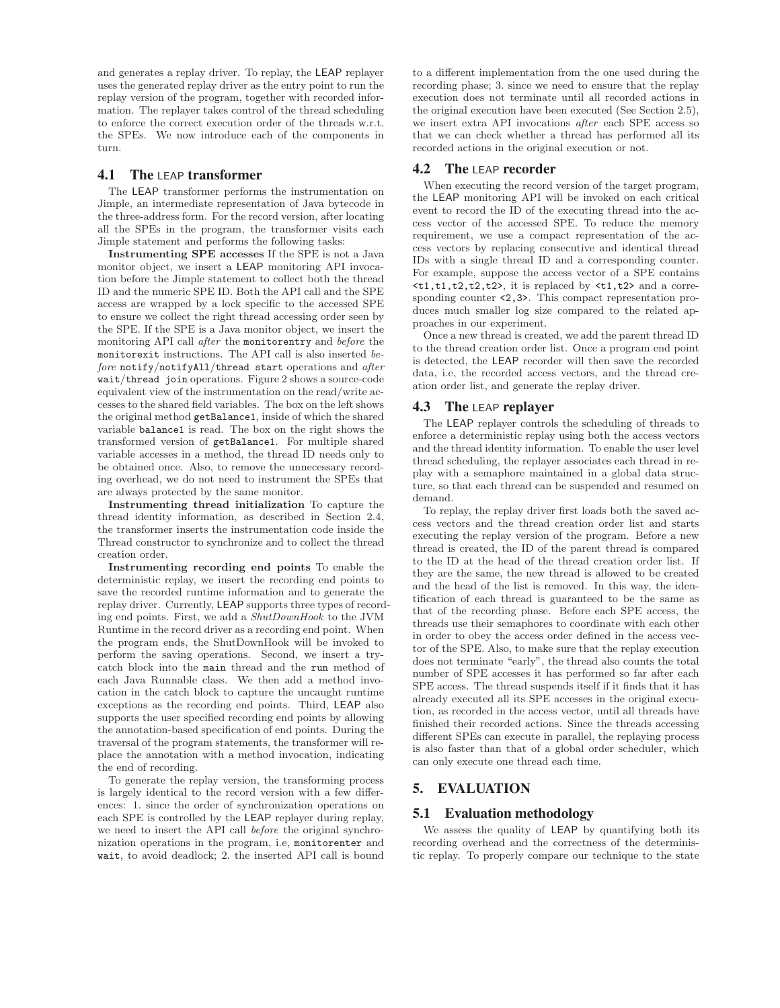and generates a replay driver. To replay, the LEAP replayer uses the generated replay driver as the entry point to run the replay version of the program, together with recorded information. The replayer takes control of the thread scheduling to enforce the correct execution order of the threads w.r.t. the SPEs. We now introduce each of the components in turn.

## 4.1 The LEAP transformer

The LEAP transformer performs the instrumentation on Jimple, an intermediate representation of Java bytecode in the three-address form. For the record version, after locating all the SPEs in the program, the transformer visits each Jimple statement and performs the following tasks:

**Instrumenting SPE accesses** If the SPE is not a Java monitor object, we insert a LEAP monitoring API invocation before the Jimple statement to collect both the thread ID and the numeric SPE ID. Both the API call and the SPE access are wrapped by a lock specific to the accessed SPE to ensure we collect the right thread accessing order seen by the SPE. If the SPE is a Java monitor object, we insert the monitoring API call after the monitorentry and before the monitorexit instructions. The API call is also inserted before notify/notifyAll/thread start operations and after wait/thread join operations. Figure 2 shows a source-code equivalent view of the instrumentation on the read/write accesses to the shared field variables. The box on the left shows the original method getBalance1, inside of which the shared variable balance1 is read. The box on the right shows the transformed version of getBalance1. For multiple shared variable accesses in a method, the thread ID needs only to be obtained once. Also, to remove the unnecessary recording overhead, we do not need to instrument the SPEs that are always protected by the same monitor.

**Instrumenting thread initialization** To capture the thread identity information, as described in Section 2.4, the transformer inserts the instrumentation code inside the Thread constructor to synchronize and to collect the thread creation order.

**Instrumenting recording end points** To enable the deterministic replay, we insert the recording end points to save the recorded runtime information and to generate the replay driver. Currently, LEAP supports three types of recording end points. First, we add a ShutDownHook to the JVM Runtime in the record driver as a recording end point. When the program ends, the ShutDownHook will be invoked to perform the saving operations. Second, we insert a trycatch block into the main thread and the run method of each Java Runnable class. We then add a method invocation in the catch block to capture the uncaught runtime exceptions as the recording end points. Third, LEAP also supports the user specified recording end points by allowing the annotation-based specification of end points. During the traversal of the program statements, the transformer will replace the annotation with a method invocation, indicating the end of recording.

To generate the replay version, the transforming process is largely identical to the record version with a few differences: 1. since the order of synchronization operations on each SPE is controlled by the LEAP replayer during replay, we need to insert the API call before the original synchronization operations in the program, i.e, monitorenter and wait, to avoid deadlock; 2. the inserted API call is bound

to a different implementation from the one used during the recording phase; 3. since we need to ensure that the replay execution does not terminate until all recorded actions in the original execution have been executed (See Section 2.5), we insert extra API invocations after each SPE access so that we can check whether a thread has performed all its recorded actions in the original execution or not.

#### **4.2** The LEAP recorder

When executing the record version of the target program, the LEAP monitoring API will be invoked on each critical event to record the ID of the executing thread into the access vector of the accessed SPE. To reduce the memory requirement, we use a compact representation of the access vectors by replacing consecutive and identical thread IDs with a single thread ID and a corresponding counter. For example, suppose the access vector of a SPE contains **, it is replaced by**  $**1**,**t2**$  **and a corre**sponding counter  $\langle 2,3 \rangle$ . This compact representation produces much smaller log size compared to the related approaches in our experiment.

Once a new thread is created, we add the parent thread ID to the thread creation order list. Once a program end point is detected, the LEAP recorder will then save the recorded data, i.e, the recorded access vectors, and the thread creation order list, and generate the replay driver.

#### **4.3** The LEAP replayer

The LEAP replayer controls the scheduling of threads to enforce a deterministic replay using both the access vectors and the thread identity information. To enable the user level thread scheduling, the replayer associates each thread in replay with a semaphore maintained in a global data structure, so that each thread can be suspended and resumed on demand.

To replay, the replay driver first loads both the saved access vectors and the thread creation order list and starts executing the replay version of the program. Before a new thread is created, the ID of the parent thread is compared to the ID at the head of the thread creation order list. If they are the same, the new thread is allowed to be created and the head of the list is removed. In this way, the identification of each thread is guaranteed to be the same as that of the recording phase. Before each SPE access, the threads use their semaphores to coordinate with each other in order to obey the access order defined in the access vector of the SPE. Also, to make sure that the replay execution does not terminate "early", the thread also counts the total number of SPE accesses it has performed so far after each SPE access. The thread suspends itself if it finds that it has already executed all its SPE accesses in the original execution, as recorded in the access vector, until all threads have finished their recorded actions. Since the threads accessing different SPEs can execute in parallel, the replaying process is also faster than that of a global order scheduler, which can only execute one thread each time.

## 5. EVALUATION

#### 5.1 Evaluation methodology

We assess the quality of LEAP by quantifying both its recording overhead and the correctness of the deterministic replay. To properly compare our technique to the state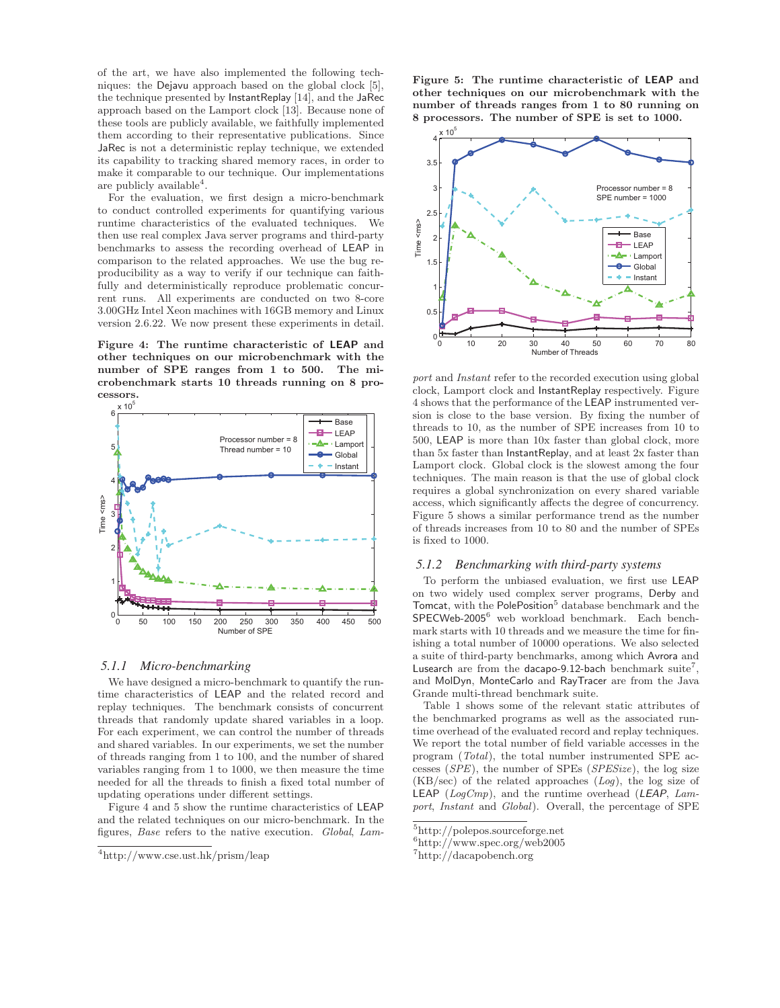of the art, we have also implemented the following techniques: the Dejavu approach based on the global clock [5], the technique presented by InstantReplay [14], and the JaRec approach based on the Lamport clock [13]. Because none of these tools are publicly available, we faithfully implemented them according to their representative publications. Since JaRec is not a deterministic replay technique, we extended its capability to tracking shared memory races, in order to make it comparable to our technique. Our implementations are publicly available<sup>4</sup>.

For the evaluation, we first design a micro-benchmark to conduct controlled experiments for quantifying various runtime characteristics of the evaluated techniques. We then use real complex Java server programs and third-party benchmarks to assess the recording overhead of LEAP in comparison to the related approaches. We use the bug reproducibility as a way to verify if our technique can faithfully and deterministically reproduce problematic concurrent runs. All experiments are conducted on two 8-core 3.00GHz Intel Xeon machines with 16GB memory and Linux version 2.6.22. We now present these experiments in detail.

**Figure 4: The runtime characteristic of LEAP and other techniques on our microbenchmark with the number of SPE ranges from 1 to 500. The microbenchmark starts 10 threads running on 8 processors.**



#### *5.1.1 Micro-benchmarking*

We have designed a micro-benchmark to quantify the runtime characteristics of LEAP and the related record and replay techniques. The benchmark consists of concurrent threads that randomly update shared variables in a loop. For each experiment, we can control the number of threads and shared variables. In our experiments, we set the number of threads ranging from 1 to 100, and the number of shared variables ranging from 1 to 1000, we then measure the time needed for all the threads to finish a fixed total number of updating operations under different settings.

Figure 4 and 5 show the runtime characteristics of LEAP and the related techniques on our micro-benchmark. In the figures, Base refers to the native execution. Global, Lam**Figure 5: The runtime characteristic of LEAP and other techniques on our microbenchmark with the number of threads ranges from 1 to 80 running on 8 processors. The number of SPE is set to 1000.**



port and *Instant* refer to the recorded execution using global clock, Lamport clock and InstantReplay respectively. Figure 4 shows that the performance of the LEAP instrumented version is close to the base version. By fixing the number of threads to 10, as the number of SPE increases from 10 to 500, LEAP is more than 10x faster than global clock, more than 5x faster than InstantReplay, and at least 2x faster than Lamport clock. Global clock is the slowest among the four techniques. The main reason is that the use of global clock requires a global synchronization on every shared variable access, which significantly affects the degree of concurrency. Figure 5 shows a similar performance trend as the number of threads increases from 10 to 80 and the number of SPEs is fixed to 1000.

#### *5.1.2 Benchmarking with third-party systems*

To perform the unbiased evaluation, we first use LEAP on two widely used complex server programs, Derby and Tomcat, with the PolePosition<sup>5</sup> database benchmark and the SPECWeb-2005<sup>6</sup> web workload benchmark. Each benchmark starts with 10 threads and we measure the time for finishing a total number of 10000 operations. We also selected a suite of third-party benchmarks, among which Avrora and Lusearch are from the dacapo-9.12-bach benchmark suite<sup>7</sup>, and MolDyn, MonteCarlo and RayTracer are from the Java Grande multi-thread benchmark suite.

Table 1 shows some of the relevant static attributes of the benchmarked programs as well as the associated runtime overhead of the evaluated record and replay techniques. We report the total number of field variable accesses in the program (Total), the total number instrumented SPE accesses (SPE), the number of SPEs (SPESize), the log size  $(KB/sec)$  of the related approaches  $(Log)$ , the log size of **LEAP** ( $LogCmp$ ), and the runtime overhead (*LEAP*,  $Lam$ port, Instant and Global). Overall, the percentage of SPE

<sup>4</sup>http://www.cse.ust.hk/prism/leap

<sup>5</sup>http://polepos.sourceforge.net

 $^6$ http://www.spec.org/web2005

<sup>7</sup>http://dacapobench.org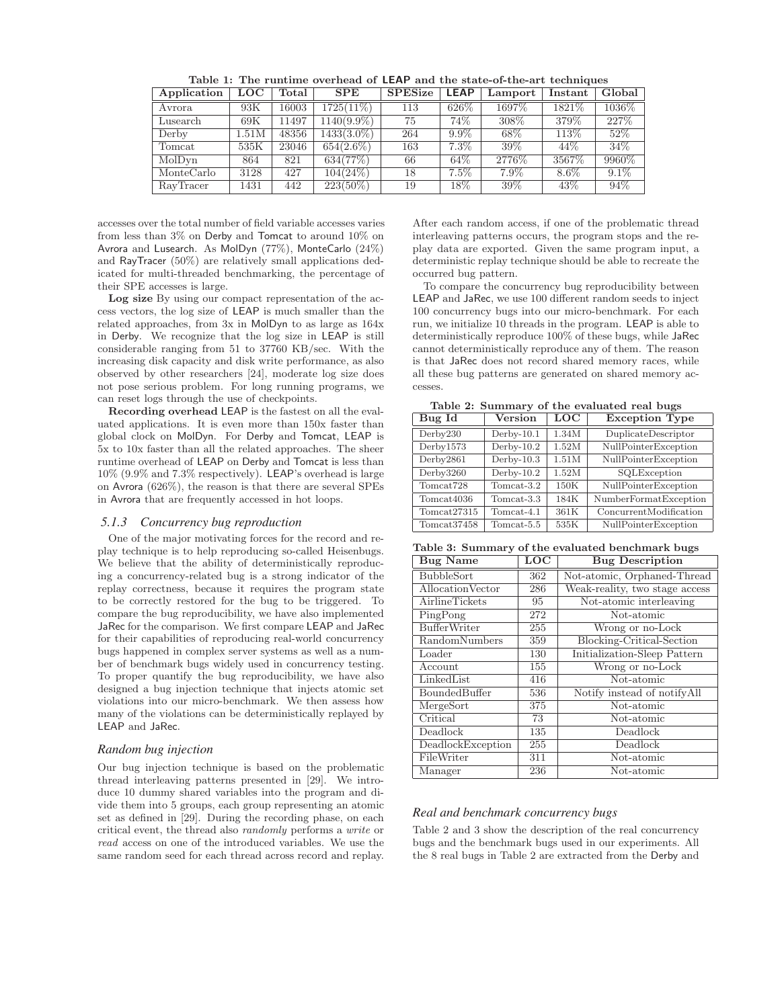| Application | $_{\mathrm{LOC}}$ | Total | <b>SPE</b>    | <b>SPESize</b> | <b>LEAP</b> | Lamport | Instant | Global  |
|-------------|-------------------|-------|---------------|----------------|-------------|---------|---------|---------|
| Avrora      | 93K               | 16003 | 1725(11%)     | 113            | 626\%       | 1697\%  | 1821\%  | 1036\%  |
| Lusearch    | 69K               | 11497 | $1140(9.9\%)$ | 75             | 74%         | 308\%   | 379%    | 227\%   |
| Derby       | 1.51M             | 48356 | 1433(3.0%)    | 264            | $9.9\%$     | 68\%    | 113\%   | 52%     |
| Tomcat      | 535K              | 23046 | $654(2.6\%)$  | 163            | $7.3\%$     | 39\%    | 44\%    | 34\%    |
| MolDyn      | 864               | 821   | 634(77%)      | 66             | 64\%        | 2776\%  | 3567\%  | 9960\%  |
| MonteCarlo  | 3128              | 427   | $104(24\%)$   | 18             | $7.5\%$     | 7.9%    | $8.6\%$ | $9.1\%$ |
| RayTracer   | 1431              | 442   | $223(50\%)$   | 19             | $18\%$      | 39%     | 43%     | $94\%$  |

**Table 1: The runtime overhead of LEAP and the state-of-the-art techniques**

accesses over the total number of field variable accesses varies from less than 3% on Derby and Tomcat to around 10% on Avrora and Lusearch. As MolDyn (77%), MonteCarlo (24%) and RayTracer (50%) are relatively small applications dedicated for multi-threaded benchmarking, the percentage of their SPE accesses is large.

**Log size** By using our compact representation of the access vectors, the log size of LEAP is much smaller than the related approaches, from 3x in MolDyn to as large as 164x in Derby. We recognize that the log size in LEAP is still considerable ranging from 51 to 37760 KB/sec. With the increasing disk capacity and disk write performance, as also observed by other researchers [24], moderate log size does not pose serious problem. For long running programs, we can reset logs through the use of checkpoints.

**Recording overhead** LEAP is the fastest on all the evaluated applications. It is even more than 150x faster than global clock on MolDyn. For Derby and Tomcat, LEAP is 5x to 10x faster than all the related approaches. The sheer runtime overhead of LEAP on Derby and Tomcat is less than 10% (9.9% and 7.3% respectively). LEAP's overhead is large on Avrora (626%), the reason is that there are several SPEs in Avrora that are frequently accessed in hot loops.

#### *5.1.3 Concurrency bug reproduction*

One of the major motivating forces for the record and replay technique is to help reproducing so-called Heisenbugs. We believe that the ability of deterministically reproducing a concurrency-related bug is a strong indicator of the replay correctness, because it requires the program state to be correctly restored for the bug to be triggered. To compare the bug reproducibility, we have also implemented JaRec for the comparison. We first compare LEAP and JaRec for their capabilities of reproducing real-world concurrency bugs happened in complex server systems as well as a number of benchmark bugs widely used in concurrency testing. To proper quantify the bug reproducibility, we have also designed a bug injection technique that injects atomic set violations into our micro-benchmark. We then assess how many of the violations can be deterministically replayed by LEAP and JaRec.

#### *Random bug injection*

Our bug injection technique is based on the problematic thread interleaving patterns presented in [29]. We introduce 10 dummy shared variables into the program and divide them into 5 groups, each group representing an atomic set as defined in [29]. During the recording phase, on each critical event, the thread also randomly performs a write or read access on one of the introduced variables. We use the same random seed for each thread across record and replay.

After each random access, if one of the problematic thread interleaving patterns occurs, the program stops and the replay data are exported. Given the same program input, a deterministic replay technique should be able to recreate the occurred bug pattern.

To compare the concurrency bug reproducibility between LEAP and JaRec, we use 100 different random seeds to inject 100 concurrency bugs into our micro-benchmark. For each run, we initialize 10 threads in the program. LEAP is able to deterministically reproduce 100% of these bugs, while JaRec cannot deterministically reproduce any of them. The reason is that JaRec does not record shared memory races, while all these bug patterns are generated on shared memory accesses.

**Table 2: Summary of the evaluated real bugs**

| Bug Id                  | <b>Version</b> | <b>LOC</b> | <b>Exception Type</b>  |  |
|-------------------------|----------------|------------|------------------------|--|
| Derby230                | $Derby-10.1$   | 1.34M      | DuplicateDescriptor    |  |
| Derbv1573               | $Derby-10.2$   | 1.52M      | NullPointerException   |  |
| Derby2861               | $Derby-10.3$   | 1.51M      | NullPointerException   |  |
| Derby3260               | $Derby-10.2$   | 1.52M      | SQLException           |  |
| Tomcat <sub>728</sub>   | $Tomcat-3.2$   | 150K       | NullPointerException   |  |
| Tomcat4036              | Tomcat-3.3     | 184K       | NumberFormatException  |  |
| Tomcat27315             | Tomcat-4.1     | 361K       | ConcurrentModification |  |
| Tomcat <sub>37458</sub> | $Tomcat-5.5$   | 535K       | NullPointerException   |  |

**Table 3: Summary of the evaluated benchmark bugs**

| <b>Bug Name</b>     | LOC | <b>Bug Description</b>         |  |  |
|---------------------|-----|--------------------------------|--|--|
| <b>BubbleSort</b>   | 362 | Not-atomic, Orphaned-Thread    |  |  |
| AllocationVector    | 286 | Weak-reality, two stage access |  |  |
| AirlineTickets      | 95  | Not-atomic interleaving        |  |  |
| PingPong            | 272 | Not-atomic                     |  |  |
| <b>BufferWriter</b> | 255 | Wrong or no-Lock               |  |  |
| RandomNumbers       | 359 | Blocking-Critical-Section      |  |  |
| Loader              | 130 | Initialization-Sleep Pattern   |  |  |
| Account             | 155 | Wrong or no-Lock               |  |  |
| LinkedList          | 416 | Not-atomic                     |  |  |
| BoundedBuffer       | 536 | Notify instead of notifyAll    |  |  |
| MergeSort           | 375 | Not-atomic                     |  |  |
| Critical            | 73  | Not-atomic                     |  |  |
| Deadlock            | 135 | Deadlock                       |  |  |
| DeadlockException   | 255 | Deadlock                       |  |  |
| FileWriter          | 311 | Not-atomic                     |  |  |
| Manager             | 236 | Not-atomic                     |  |  |

#### *Real and benchmark concurrency bugs*

Table 2 and 3 show the description of the real concurrency bugs and the benchmark bugs used in our experiments. All the 8 real bugs in Table 2 are extracted from the Derby and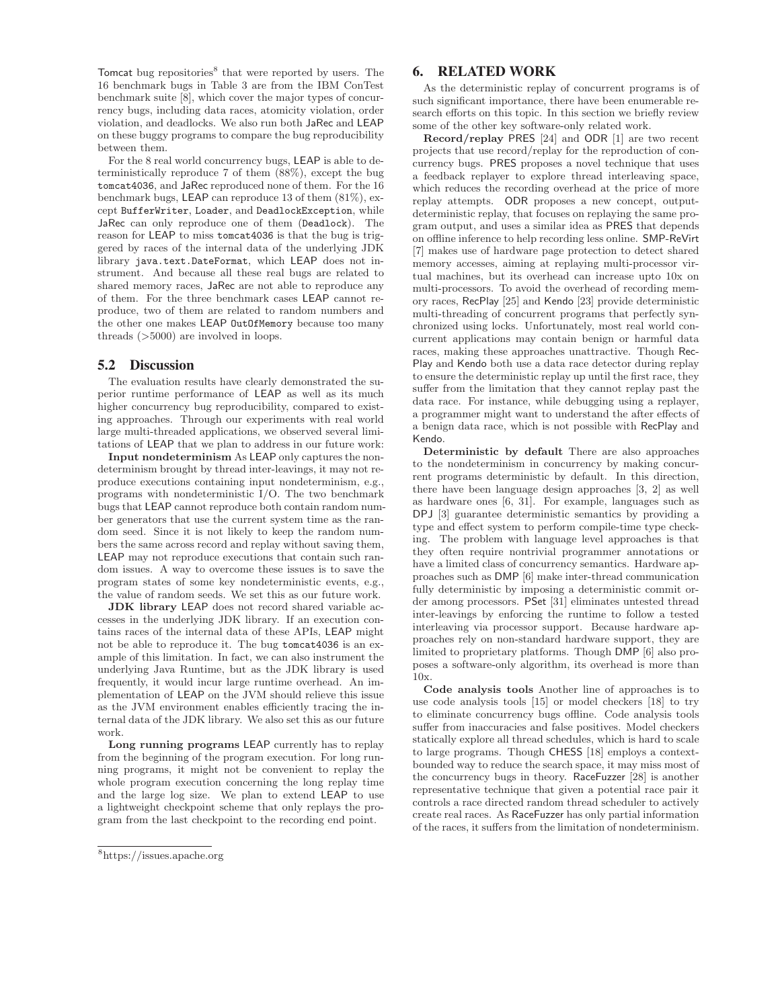Tomcat bug repositories $8$  that were reported by users. The 16 benchmark bugs in Table 3 are from the IBM ConTest benchmark suite [8], which cover the major types of concurrency bugs, including data races, atomicity violation, order violation, and deadlocks. We also run both JaRec and LEAP on these buggy programs to compare the bug reproducibility between them.

For the 8 real world concurrency bugs, LEAP is able to deterministically reproduce 7 of them (88%), except the bug tomcat4036, and JaRec reproduced none of them. For the 16 benchmark bugs, LEAP can reproduce 13 of them (81%), except BufferWriter, Loader, and DeadlockException, while JaRec can only reproduce one of them (Deadlock). The reason for LEAP to miss tomcat4036 is that the bug is triggered by races of the internal data of the underlying JDK library java.text.DateFormat, which LEAP does not instrument. And because all these real bugs are related to shared memory races, JaRec are not able to reproduce any of them. For the three benchmark cases LEAP cannot reproduce, two of them are related to random numbers and the other one makes LEAP OutOfMemory because too many threads (>5000) are involved in loops.

#### 5.2 Discussion

The evaluation results have clearly demonstrated the superior runtime performance of LEAP as well as its much higher concurrency bug reproducibility, compared to existing approaches. Through our experiments with real world large multi-threaded applications, we observed several limitations of LEAP that we plan to address in our future work:

**Input nondeterminism** As LEAP only captures the nondeterminism brought by thread inter-leavings, it may not reproduce executions containing input nondeterminism, e.g., programs with nondeterministic I/O. The two benchmark bugs that LEAP cannot reproduce both contain random number generators that use the current system time as the random seed. Since it is not likely to keep the random numbers the same across record and replay without saving them, LEAP may not reproduce executions that contain such random issues. A way to overcome these issues is to save the program states of some key nondeterministic events, e.g., the value of random seeds. We set this as our future work.

**JDK library** LEAP does not record shared variable accesses in the underlying JDK library. If an execution contains races of the internal data of these APIs, LEAP might not be able to reproduce it. The bug tomcat4036 is an example of this limitation. In fact, we can also instrument the underlying Java Runtime, but as the JDK library is used frequently, it would incur large runtime overhead. An implementation of LEAP on the JVM should relieve this issue as the JVM environment enables efficiently tracing the internal data of the JDK library. We also set this as our future work.

**Long running programs** LEAP currently has to replay from the beginning of the program execution. For long running programs, it might not be convenient to replay the whole program execution concerning the long replay time and the large log size. We plan to extend LEAP to use a lightweight checkpoint scheme that only replays the program from the last checkpoint to the recording end point.

## 6. RELATED WORK

As the deterministic replay of concurrent programs is of such significant importance, there have been enumerable research efforts on this topic. In this section we briefly review some of the other key software-only related work.

**Record/replay** PRES [24] and ODR [1] are two recent projects that use record/replay for the reproduction of concurrency bugs. PRES proposes a novel technique that uses a feedback replayer to explore thread interleaving space, which reduces the recording overhead at the price of more replay attempts. ODR proposes a new concept, outputdeterministic replay, that focuses on replaying the same program output, and uses a similar idea as PRES that depends on offline inference to help recording less online. SMP-ReVirt [7] makes use of hardware page protection to detect shared memory accesses, aiming at replaying multi-processor virtual machines, but its overhead can increase upto 10x on multi-processors. To avoid the overhead of recording memory races, RecPlay [25] and Kendo [23] provide deterministic multi-threading of concurrent programs that perfectly synchronized using locks. Unfortunately, most real world concurrent applications may contain benign or harmful data races, making these approaches unattractive. Though Rec-Play and Kendo both use a data race detector during replay to ensure the deterministic replay up until the first race, they suffer from the limitation that they cannot replay past the data race. For instance, while debugging using a replayer, a programmer might want to understand the after effects of a benign data race, which is not possible with RecPlay and Kendo.

**Deterministic by default** There are also approaches to the nondeterminism in concurrency by making concurrent programs deterministic by default. In this direction, there have been language design approaches [3, 2] as well as hardware ones [6, 31]. For example, languages such as DPJ [3] guarantee deterministic semantics by providing a type and effect system to perform compile-time type checking. The problem with language level approaches is that they often require nontrivial programmer annotations or have a limited class of concurrency semantics. Hardware approaches such as DMP [6] make inter-thread communication fully deterministic by imposing a deterministic commit order among processors. PSet [31] eliminates untested thread inter-leavings by enforcing the runtime to follow a tested interleaving via processor support. Because hardware approaches rely on non-standard hardware support, they are limited to proprietary platforms. Though DMP [6] also proposes a software-only algorithm, its overhead is more than 10x.

**Code analysis tools** Another line of approaches is to use code analysis tools [15] or model checkers [18] to try to eliminate concurrency bugs offline. Code analysis tools suffer from inaccuracies and false positives. Model checkers statically explore all thread schedules, which is hard to scale to large programs. Though CHESS [18] employs a contextbounded way to reduce the search space, it may miss most of the concurrency bugs in theory. RaceFuzzer [28] is another representative technique that given a potential race pair it controls a race directed random thread scheduler to actively create real races. As RaceFuzzer has only partial information of the races, it suffers from the limitation of nondeterminism.

<sup>8</sup>https://issues.apache.org